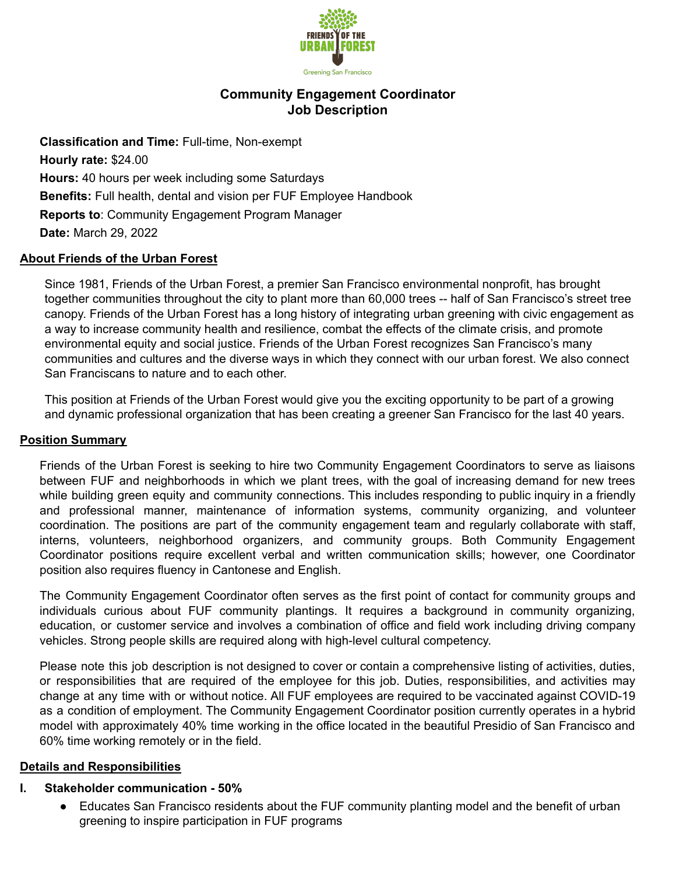

# **Community Engagement Coordinator Job Description**

**Classification and Time:** Full-time, Non-exempt **Hourly rate:** \$24.00 **Hours:** 40 hours per week including some Saturdays **Benefits:** Full health, dental and vision per FUF Employee Handbook **Reports to**: Community Engagement Program Manager **Date:** March 29, 2022

## **About Friends of the Urban Forest**

Since 1981, Friends of the Urban Forest, a premier San Francisco environmental nonprofit, has brought together communities throughout the city to plant more than 60,000 trees -- half of San Francisco's street tree canopy. Friends of the Urban Forest has a long history of integrating urban greening with civic engagement as a way to increase community health and resilience, combat the effects of the climate crisis, and promote environmental equity and social justice. Friends of the Urban Forest recognizes San Francisco's many communities and cultures and the diverse ways in which they connect with our urban forest. We also connect San Franciscans to nature and to each other.

This position at Friends of the Urban Forest would give you the exciting opportunity to be part of a growing and dynamic professional organization that has been creating a greener San Francisco for the last 40 years.

### **Position Summary**

Friends of the Urban Forest is seeking to hire two Community Engagement Coordinators to serve as liaisons between FUF and neighborhoods in which we plant trees, with the goal of increasing demand for new trees while building green equity and community connections. This includes responding to public inquiry in a friendly and professional manner, maintenance of information systems, community organizing, and volunteer coordination. The positions are part of the community engagement team and regularly collaborate with staff, interns, volunteers, neighborhood organizers, and community groups. Both Community Engagement Coordinator positions require excellent verbal and written communication skills; however, one Coordinator position also requires fluency in Cantonese and English.

The Community Engagement Coordinator often serves as the first point of contact for community groups and individuals curious about FUF community plantings. It requires a background in community organizing, education, or customer service and involves a combination of office and field work including driving company vehicles. Strong people skills are required along with high-level cultural competency.

Please note this job description is not designed to cover or contain a comprehensive listing of activities, duties, or responsibilities that are required of the employee for this job. Duties, responsibilities, and activities may change at any time with or without notice. All FUF employees are required to be vaccinated against COVID-19 as a condition of employment. The Community Engagement Coordinator position currently operates in a hybrid model with approximately 40% time working in the office located in the beautiful Presidio of San Francisco and 60% time working remotely or in the field.

### **Details and Responsibilities**

#### **I. Stakeholder communication - 50%**

Educates San Francisco residents about the FUF community planting model and the benefit of urban greening to inspire participation in FUF programs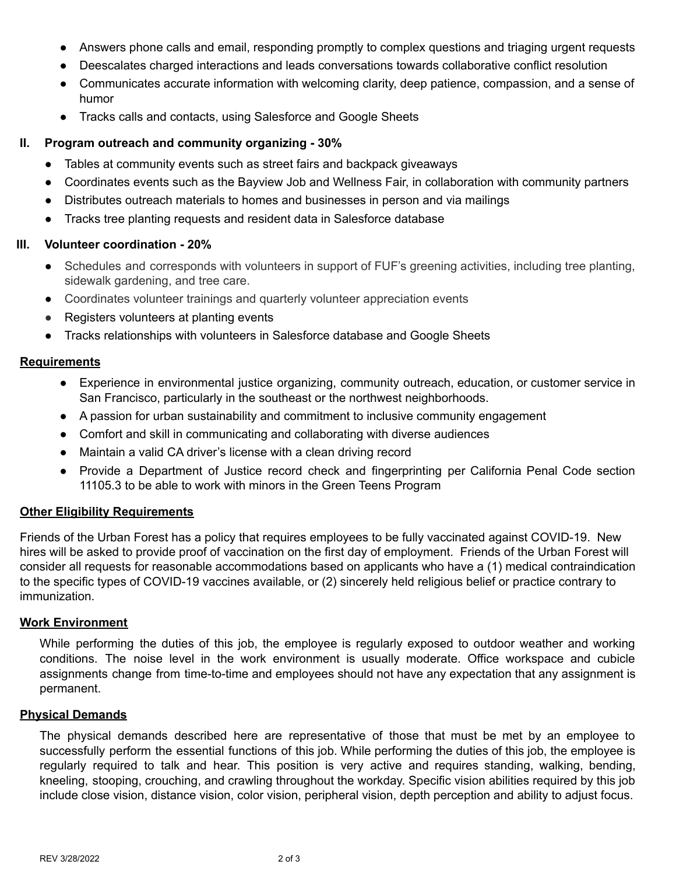- Answers phone calls and email, responding promptly to complex questions and triaging urgent requests
- Deescalates charged interactions and leads conversations towards collaborative conflict resolution
- Communicates accurate information with welcoming clarity, deep patience, compassion, and a sense of humor
- Tracks calls and contacts, using Salesforce and Google Sheets

## **II. Program outreach and community organizing - 30%**

- Tables at community events such as street fairs and backpack giveaways
- Coordinates events such as the Bayview Job and Wellness Fair, in collaboration with community partners
- Distributes outreach materials to homes and businesses in person and via mailings
- Tracks tree planting requests and resident data in Salesforce database

### **III. Volunteer coordination - 20%**

- Schedules and corresponds with volunteers in support of FUF's greening activities, including tree planting, sidewalk gardening, and tree care.
- Coordinates volunteer trainings and quarterly volunteer appreciation events
- Registers volunteers at planting events
- Tracks relationships with volunteers in Salesforce database and Google Sheets

### **Requirements**

- Experience in environmental justice organizing, community outreach, education, or customer service in San Francisco, particularly in the southeast or the northwest neighborhoods.
- A passion for urban sustainability and commitment to inclusive community engagement
- Comfort and skill in communicating and collaborating with diverse audiences
- Maintain a valid CA driver's license with a clean driving record
- Provide a Department of Justice record check and fingerprinting per California Penal Code section 11105.3 to be able to work with minors in the Green Teens Program

### **Other Eligibility Requirements**

Friends of the Urban Forest has a policy that requires employees to be fully vaccinated against COVID-19. New hires will be asked to provide proof of vaccination on the first day of employment. Friends of the Urban Forest will consider all requests for reasonable accommodations based on applicants who have a (1) medical contraindication to the specific types of COVID-19 vaccines available, or (2) sincerely held religious belief or practice contrary to immunization.

### **Work Environment**

While performing the duties of this job, the employee is regularly exposed to outdoor weather and working conditions. The noise level in the work environment is usually moderate. Office workspace and cubicle assignments change from time-to-time and employees should not have any expectation that any assignment is permanent.

#### **Physical Demands**

The physical demands described here are representative of those that must be met by an employee to successfully perform the essential functions of this job. While performing the duties of this job, the employee is regularly required to talk and hear. This position is very active and requires standing, walking, bending, kneeling, stooping, crouching, and crawling throughout the workday. Specific vision abilities required by this job include close vision, distance vision, color vision, peripheral vision, depth perception and ability to adjust focus.